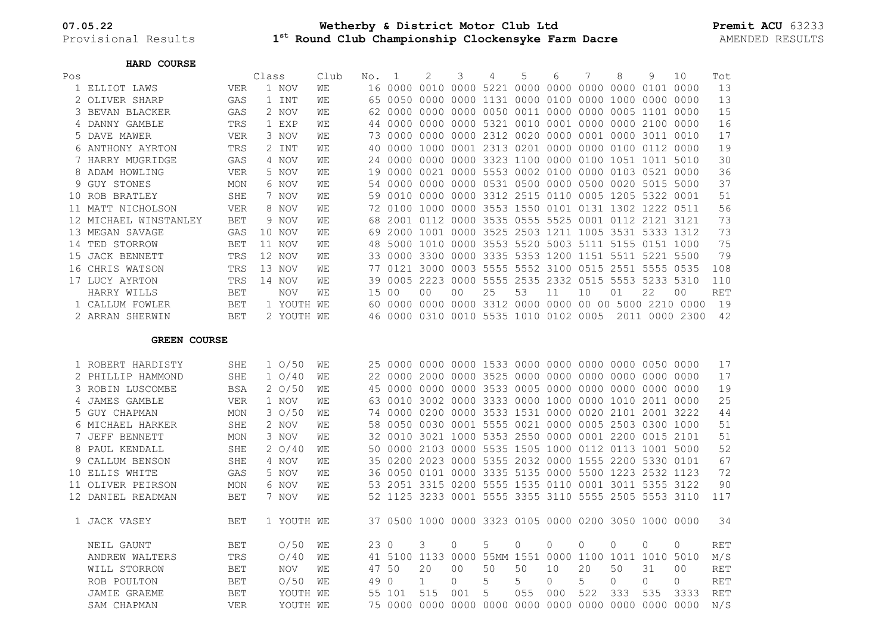Provisional Results **1**

## **07.05.22 Wetherby & District Motor Club Ltd Premit ACU** 63233  $1^{st}$  Round Club Championship Clockensyke Farm Dacre

## **HARD COURSE**

| Pos                 |                     | Class      |  |                  | Club | No.   | 1      | $\mathbf{2}$   | 3              | 4                           | 5                                                    | 6        | 7                   | 8        | 9        | 10                                                    | Tot        |
|---------------------|---------------------|------------|--|------------------|------|-------|--------|----------------|----------------|-----------------------------|------------------------------------------------------|----------|---------------------|----------|----------|-------------------------------------------------------|------------|
|                     | 1 ELLIOT LAWS       | VER        |  | 1 NOV            | WЕ   |       |        |                |                |                             |                                                      |          |                     |          |          |                                                       | 13         |
|                     | OLIVER SHARP        | GAS        |  | 1 INT            | WE   |       |        |                |                |                             | 65 0050 0000 0000 1131 0000 0100 0000 1000 0000 0000 |          |                     |          |          |                                                       | 13         |
| 3                   | BEVAN BLACKER       | GAS        |  | 2 NOV            | WЕ   |       |        |                |                |                             |                                                      |          |                     |          |          |                                                       | 15         |
|                     | 4 DANNY GAMBLE      | TRS        |  | 1 EXP            | WЕ   |       |        |                |                |                             | 44 0000 0000 0000 5321 0010 0001 0000 0000 2100 0000 |          |                     |          |          |                                                       | 16         |
| 5                   | DAVE MAWER          | <b>VER</b> |  | 3 NOV            | WE   |       |        |                |                |                             | 73 0000 0000 0000 2312 0020 0000 0001 0000 3011 0010 |          |                     |          |          |                                                       | 17         |
| 6                   | ANTHONY AYRTON      | TRS        |  | 2 INT            | WЕ   |       |        |                |                |                             |                                                      |          |                     |          |          |                                                       | 19         |
|                     | 7 HARRY MUGRIDGE    | GAS        |  | 4 NOV            | WΕ   |       |        |                |                |                             | 24 0000 0000 0000 3323 1100 0000 0100 1051 1011 5010 |          |                     |          |          |                                                       | 30         |
| 8                   | ADAM HOWLING        | VER        |  | 5 NOV            | WE   |       |        |                |                |                             | 19 0000 0021 0000 5553 0002 0100 0000 0103 0521 0000 |          |                     |          |          |                                                       | 36         |
| 9                   | GUY STONES          | MON        |  | 6 NOV            | WЕ   |       |        |                |                |                             | 54 0000 0000 0000 0531 0500 0000 0500 0020 5015 5000 |          |                     |          |          |                                                       | 37         |
|                     | 10 ROB BRATLEY      | SHE        |  | 7 NOV            | WE   |       |        |                |                |                             | 59 0010 0000 0000 3312 2515 0110 0005 1205 5322 0001 |          |                     |          |          |                                                       | 51         |
|                     | 11 MATT NICHOLSON   | <b>VER</b> |  | 8 NOV            | WЕ   |       |        |                |                |                             | 72 0100 1000 0000 3553 1550 0101 0131 1302 1222 0511 |          |                     |          |          |                                                       | 56         |
| 12                  | MICHAEL WINSTANLEY  | BET        |  | 9 NOV            | WЕ   |       |        |                |                |                             | 68 2001 0112 0000 3535 0555 5525 0001 0112 2121 3121 |          |                     |          |          |                                                       | 73         |
|                     | 13 MEGAN SAVAGE     | GAS        |  | 10 NOV           | WЕ   |       |        |                |                |                             | 69 2000 1001 0000 3525 2503 1211 1005 3531 5333 1312 |          |                     |          |          |                                                       | 73         |
| 14                  | TED STORROW         | <b>BET</b> |  | 11 NOV           | WΕ   |       |        |                |                |                             | 48 5000 1010 0000 3553 5520 5003 5111 5155 0151 1000 |          |                     |          |          |                                                       | 75         |
| 15                  | JACK BENNETT        | TRS        |  | 12 NOV           | WЕ   |       |        |                |                |                             | 33 0000 3300 0000 3335 5353 1200 1151 5511 5221 5500 |          |                     |          |          |                                                       | 79         |
|                     | 16 CHRIS WATSON     | TRS        |  | 13 NOV           | WЕ   |       |        |                |                |                             | 77 0121 3000 0003 5555 5552 3100 0515 2551 5555 0535 |          |                     |          |          |                                                       | 108        |
|                     | 17 LUCY AYRTON      | TRS        |  | 14 NOV           | WЕ   |       |        |                |                |                             | 39 0005 2223 0000 5555 2535 2332 0515 5553 5233 5310 |          |                     |          |          |                                                       | 110        |
|                     | HARRY WILLS         | <b>BET</b> |  | <b>NOV</b>       | WЕ   |       | 15 00  | 0 <sub>0</sub> | 0 <sub>0</sub> | 25                          | 53                                                   | 11       | 10                  | 01       | 22       | 0 <sup>0</sup>                                        | RET        |
|                     | 1 CALLUM FOWLER     | <b>BET</b> |  | 1 YOUTH WE       |      |       |        |                |                |                             |                                                      |          |                     |          |          | 60 0000 0000 0000 3312 0000 0000 00 00 5000 2210 0000 | 19         |
|                     | 2 ARRAN SHERWIN     | <b>BET</b> |  | 2 YOUTH WE       |      |       |        |                |                |                             | 46 0000 0310 0010 5535 1010 0102 0005                |          |                     |          |          | 2011 0000 2300                                        | 42         |
|                     |                     |            |  |                  |      |       |        |                |                |                             |                                                      |          |                     |          |          |                                                       |            |
| <b>GREEN COURSE</b> |                     |            |  |                  |      |       |        |                |                |                             |                                                      |          |                     |          |          |                                                       |            |
|                     |                     |            |  |                  |      |       |        |                |                |                             |                                                      |          |                     |          |          |                                                       |            |
|                     | 1 ROBERT HARDISTY   | SHE        |  | $1 \frac{0}{50}$ | WE   |       |        |                |                |                             |                                                      |          |                     |          |          |                                                       | 17         |
|                     | 2 PHILLIP HAMMOND   | SHE        |  | 10/40            | WЕ   |       |        |                |                |                             |                                                      |          |                     |          |          |                                                       | 17         |
| 3                   | ROBIN LUSCOMBE      | <b>BSA</b> |  | 20/50            | WЕ   |       |        |                |                |                             |                                                      |          |                     |          |          |                                                       | 19         |
| 4                   | JAMES GAMBLE        | <b>VER</b> |  | 1 NOV            | WЕ   |       |        |                |                |                             | 63 0010 3002 0000 3333 0000 1000 0000 1010 2011 0000 |          |                     |          |          |                                                       | 25         |
| 5                   | <b>GUY CHAPMAN</b>  | MON        |  | 30/50            | WЕ   |       |        |                |                |                             | 74 0000 0200 0000 3533 1531 0000 0020 2101 2001 3222 |          |                     |          |          |                                                       | 44         |
| 6                   | MICHAEL HARKER      | SHE        |  | 2 NOV            | WE   |       |        |                |                |                             | 58 0050 0030 0001 5555 0021 0000 0005 2503 0300 1000 |          |                     |          |          |                                                       | 51         |
| 7                   | JEFF BENNETT        | MON        |  | 3 NOV            | WE   |       |        |                |                |                             | 32 0010 3021 1000 5353 2550 0000 0001 2200 0015 2101 |          |                     |          |          |                                                       | 51         |
| 8                   | PAUL KENDALL        | SHE        |  | 20/40            | WЕ   |       |        |                |                |                             | 50 0000 2103 0000 5535 1505 1000 0112 0113 1001 5000 |          |                     |          |          |                                                       | 52         |
| 9                   | CALLUM BENSON       | SHE        |  | 4 NOV            | WΕ   |       |        |                |                |                             | 35 0200 2023 0000 5355 2032 0000 1555 2200 5330 0101 |          |                     |          |          |                                                       | 67         |
|                     | 10 ELLIS WHITE      | GAS        |  | 5 NOV            | WE   |       |        |                |                |                             | 36 0050 0101 0000 3335 5135 0000 5500 1223 2532 1123 |          |                     |          |          |                                                       | 72         |
|                     | 11 OLIVER PEIRSON   | MON        |  | 6 NOV            | WE   |       |        |                |                |                             | 53 2051 3315 0200 5555 1535 0110 0001 3011 5355 3122 |          |                     |          |          |                                                       | 90         |
|                     | 12 DANIEL READMAN   | BET        |  | 7 NOV            | WE   |       |        |                |                |                             | 52 1125 3233 0001 5555 3355 3110 5555 2505 5553 3110 |          |                     |          |          |                                                       | 117        |
|                     |                     |            |  |                  |      |       |        |                |                |                             |                                                      |          |                     |          |          |                                                       |            |
|                     | 1 JACK VASEY        | BET        |  | 1 YOUTH WE       |      |       |        |                |                |                             | 37 0500 1000 0000 3323 0105 0000 0200 3050 1000 0000 |          |                     |          |          |                                                       | 34         |
|                     |                     |            |  |                  |      |       |        |                |                |                             |                                                      |          |                     |          |          |                                                       |            |
|                     | NEIL GAUNT          | BET        |  | O/50             | WE   | 23 0  |        | 3              | 0              | 5                           | 0                                                    | $\Omega$ | $\overline{0}$      | $\Omega$ | 0        | $\Omega$                                              | RET        |
|                     | ANDREW WALTERS      | TRS        |  | O/40             | WЕ   |       |        |                |                | 41 5100 1133 0000 55MM 1551 |                                                      |          | 0000 1100 1011 1010 |          |          | 5010                                                  | M/S        |
|                     | WILL STORROW        | <b>BET</b> |  | <b>NOV</b>       | WЕ   | 47 50 |        | 20             | 0 <sub>0</sub> | 50                          | 50                                                   | 10       | 20                  | 50       | 31       | 0 <sup>0</sup>                                        | <b>RET</b> |
|                     | ROB POULTON         | <b>BET</b> |  | O/50             | WЕ   | 49 0  |        | $\mathbf{1}$   | $\Omega$       | 5                           | 5                                                    | $\Omega$ | 5                   | $\Omega$ | $\Omega$ | $\Omega$                                              | <b>RET</b> |
|                     | <b>JAMIE GRAEME</b> | BET        |  | YOUTH WE         |      |       | 55 101 | 515            | 001            | 5                           | 055                                                  | 000      | 522                 | 333      | 535      | 3333                                                  | <b>RET</b> |
|                     | SAM CHAPMAN         | <b>VER</b> |  | YOUTH WE         |      |       |        |                |                |                             |                                                      |          |                     |          |          |                                                       | N/S        |